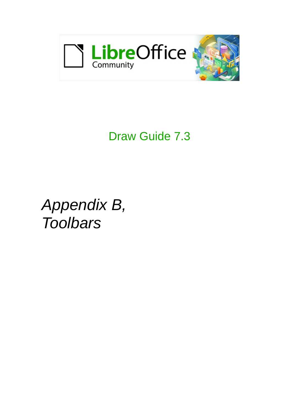

# Draw Guide 7.3

*Appendix B, Toolbars*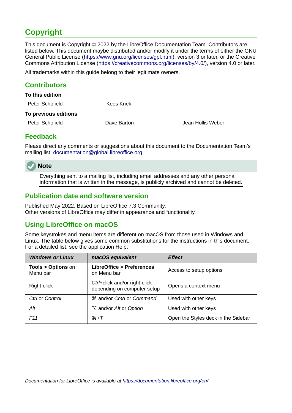# <span id="page-1-4"></span>**Copyright**

This document is Copyright © 2022 by the LibreOffice Documentation Team. Contributors are listed below. This document maybe distributed and/or modify it under the terms of either the GNU General Public License (<https://www.gnu.org/licenses/gpl.html>), version 3 or later, or the Creative Commons Attribution License (<https://creativecommons.org/licenses/by/4.0/>), version 4.0 or later.

All trademarks within this guide belong to their legitimate owners.

### <span id="page-1-3"></span>**Contributors**

| To this edition      |             |
|----------------------|-------------|
| Peter Schofield      | Kees Kriek  |
| To previous editions |             |
| Peter Schofield      | Dave Barton |

Jean Hollis Weber

### <span id="page-1-2"></span>**Feedback**

Please direct any comments or suggestions about this document to the Documentation Team's mailing list: [documentation@global.libreoffice.org](mailto:documentation@global.libreoffice.org)



Everything sent to a mailing list, including email addresses and any other personal information that is written in the message, is publicly archived and cannot be deleted.

### <span id="page-1-1"></span>**Publication date and software version**

Published May 2022. Based on LibreOffice 7.3 Community. Other versions of LibreOffice may differ in appearance and functionality.

### <span id="page-1-0"></span>**Using LibreOffice on macOS**

Some keystrokes and menu items are different on macOS from those used in Windows and Linux. The table below gives some common substitutions for the instructions in this document. For a detailed list, see the application Help.

| <b>Windows or Linux</b>                  | macOS equivalent                                             | <b>Effect</b>                       |
|------------------------------------------|--------------------------------------------------------------|-------------------------------------|
| <b>Tools &gt; Options on</b><br>Menu bar | <b>LibreOffice &gt; Preferences</b><br>on Menu bar           | Access to setup options             |
| Right-click                              | Ctrl+click and/or right-click<br>depending on computer setup | Opens a context menu                |
| Ctrl or Control                          | <b><math>\frac{1}{2}</math></b> and/or Cmd or Command        | Used with other keys                |
| Alt                                      | <b>∠</b> and/or Alt or Option                                | Used with other keys                |
| F11                                      | $\mathcal{H} + \mathcal{T}$                                  | Open the Styles deck in the Sidebar |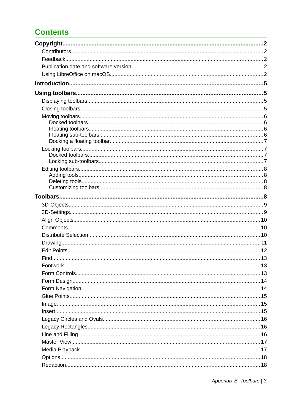# **Contents**

| Find. |  |
|-------|--|
|       |  |
|       |  |
|       |  |
|       |  |
|       |  |
|       |  |
|       |  |
|       |  |
|       |  |
|       |  |
|       |  |
|       |  |
|       |  |
|       |  |

Appendix B, Toolbars | 3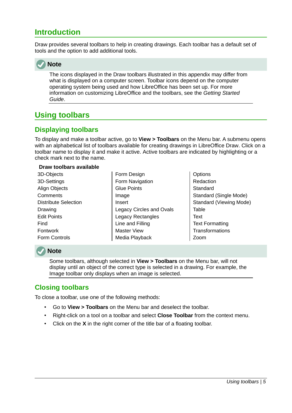# <span id="page-4-3"></span>**Introduction**

Draw provides several toolbars to help in creating drawings. Each toolbar has a default set of tools and the option to add additional tools.



The icons displayed in the Draw toolbars illustrated in this appendix may differ from what is displayed on a computer screen. Toolbar icons depend on the computer operating system being used and how LibreOffice has been set up. For more information on customizing LibreOffice and the toolbars, see the *Getting Started Guide*.

# <span id="page-4-2"></span>**Using toolbars**

### <span id="page-4-1"></span>**Displaying toolbars**

To display and make a toolbar active, go to **View > Toolbars** on the Menu bar. A submenu opens with an alphabetical list of toolbars available for creating drawings in LibreOffice Draw. Click on a toolbar name to display it and make it active. Active toolbars are indicated by highlighting or a check mark next to the name.

#### **Draw toolbars available**

- 3D-Objects 3D-Settings Align Objects **Comments** Distribute Selection Drawing Edit Points Find Fontwork Form Controls
- Form Design Form Navigation Glue Points Image Insert Legacy Circles and Ovals Legacy Rectangles Line and Filling Master View Media Playback
- **Options** Redaction **Standard** Standard (Single Mode) Standard (Viewing Mode) Table **Text** Text Formatting **Transformations** Zoom



#### **Note**

Some toolbars, although selected in **View > Toolbars** on the Menu bar, will not display until an object of the correct type is selected in a drawing. For example, the Image toolbar only displays when an image is selected.

### <span id="page-4-0"></span>**Closing toolbars**

To close a toolbar, use one of the following methods:

- Go to **View > Toolbars** on the Menu bar and deselect the toolbar.
- Right-click on a tool on a toolbar and select **Close Toolbar** from the context menu.
- Click on the **X** in the right corner of the title bar of a floating toolbar.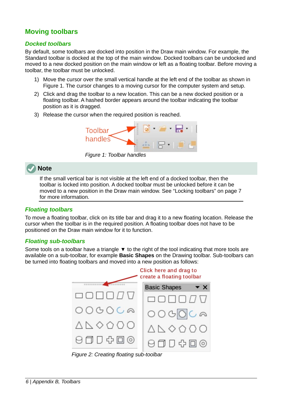### <span id="page-5-3"></span>**Moving toolbars**

#### <span id="page-5-2"></span>*Docked toolbars*

By default, some toolbars are docked into position in the Draw main window. For example, the Standard toolbar is docked at the top of the main window. Docked toolbars can be undocked and moved to a new docked position on the main window or left as a floating toolbar. Before moving a toolbar, the toolbar must be unlocked.

- 1) Move the cursor over the small vertical handle at the left end of the toolbar as shown in Figure [1](#page-5-4). The cursor changes to a moving cursor for the computer system and setup.
- 2) Click and drag the toolbar to a new location. This can be a new docked position or a floating toolbar. A hashed border appears around the toolbar indicating the toolbar position as it is dragged.
- 3) Release the cursor when the required position is reached.

<span id="page-5-4"></span>

*Figure 1: Toolbar handles*

### **Note**

If the small vertical bar is not visible at the left end of a docked toolbar, then the toolbar is locked into position. A docked toolbar must be unlocked before it can be moved to a new position in the Draw main window. See "[Locking toolbars"](#page-6-2) on page [7](#page-6-2) for more information.

#### <span id="page-5-1"></span>*Floating toolbars*

To move a floating toolbar, click on its title bar and drag it to a new floating location. Release the cursor when the toolbar is in the required position. A floating toolbar does not have to be positioned on the Draw main window for it to function.

#### <span id="page-5-0"></span>*Floating sub-toolbars*

Some tools on a toolbar have a triangle  $\blacktriangledown$  to the right of the tool indicating that more tools are available on a sub-toolbar, for example **Basic Shapes** on the Drawing toolbar. Sub-toolbars can be turned into floating toolbars and moved into a new position as follows:



<span id="page-5-5"></span>*Figure 2: Creating floating sub-toolbar*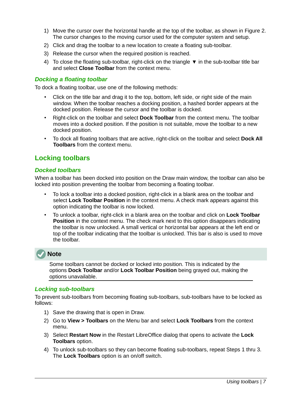- 1) Move the cursor over the horizontal handle at the top of the toolbar, as shown in Figure [2](#page-5-5). The cursor changes to the moving cursor used for the computer system and setup.
- 2) Click and drag the toolbar to a new location to create a floating sub-toolbar.
- 3) Release the cursor when the required position is reached.
- 4) To close the floating sub-toolbar, right-click on the triangle ▼ in the sub-toolbar title bar and select **Close Toolbar** from the context menu.

#### <span id="page-6-3"></span>*Docking a floating toolbar*

To dock a floating toolbar, use one of the following methods:

- Click on the title bar and drag it to the top, bottom, left side, or right side of the main window. When the toolbar reaches a docking position, a hashed border appears at the docked position. Release the cursor and the toolbar is docked.
- Right-click on the toolbar and select **Dock Toolbar** from the context menu. The toolbar moves into a docked position. If the position is not suitable, move the toolbar to a new docked position.
- To dock all floating toolbars that are active, right-click on the toolbar and select **Dock All Toolbars** from the context menu.

### <span id="page-6-2"></span>**Locking toolbars**

#### <span id="page-6-1"></span>*Docked toolbars*

When a toolbar has been docked into position on the Draw main window, the toolbar can also be locked into position preventing the toolbar from becoming a floating toolbar.

- To lock a toolbar into a docked position, right-click in a blank area on the toolbar and select **Lock Toolbar Position** in the context menu. A check mark appears against this option indicating the toolbar is now locked.
- To unlock a toolbar, right-click in a blank area on the toolbar and click on **Lock Toolbar Position** in the context menu. The check mark next to this option disappears indicating the toolbar is now unlocked. A small vertical or horizontal bar appears at the left end or top of the toolbar indicating that the toolbar is unlocked. This bar is also is used to move the toolbar.



Some toolbars cannot be docked or locked into position. This is indicated by the options **Dock Toolbar** and/or **Lock Toolbar Position** being grayed out, making the options unavailable.

#### <span id="page-6-0"></span>*Locking sub-toolbars*

To prevent sub-toolbars from becoming floating sub-toolbars, sub-toolbars have to be locked as follows:

- 1) Save the drawing that is open in Draw.
- 2) Go to **View > Toolbars** on the Menu bar and select **Lock Toolbars** from the context menu.
- 3) Select **Restart Now** in the Restart LibreOffice dialog that opens to activate the **Lock Toolbars** option.
- 4) To unlock sub-toolbars so they can become floating sub-toolbars, repeat Steps 1 thru 3. The **Lock Toolbars** option is an on/off switch.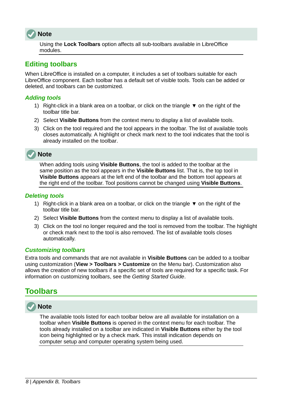### **Note**

Using the **Lock Toolbars** option affects all sub-toolbars available in LibreOffice modules.

### <span id="page-7-4"></span>**Editing toolbars**

When LibreOffice is installed on a computer, it includes a set of toolbars suitable for each LibreOffice component. Each toolbar has a default set of visible tools. Tools can be added or deleted, and toolbars can be customized.

#### <span id="page-7-3"></span>*Adding tools*

- 1) Right-click in a blank area on a toolbar, or click on the triangle  $\blacktriangledown$  on the right of the toolbar title bar.
- 2) Select **Visible Buttons** from the context menu to display a list of available tools.
- 3) Click on the tool required and the tool appears in the toolbar. The list of available tools closes automatically. A highlight or check mark next to the tool indicates that the tool is already installed on the toolbar.



When adding tools using **Visible Buttons**, the tool is added to the toolbar at the same position as the tool appears in the **Visible Buttons** list. That is, the top tool in **Visible Buttons** appears at the left end of the toolbar and the bottom tool appears at the right end of the toolbar. Tool positions cannot be changed using **Visible Buttons**.

#### <span id="page-7-2"></span>*Deleting tools*

- 1) Right-click in a blank area on a toolbar, or click on the triangle  $\blacktriangledown$  on the right of the toolbar title bar.
- 2) Select **Visible Buttons** from the context menu to display a list of available tools.
- 3) Click on the tool no longer required and the tool is removed from the toolbar. The highlight or check mark next to the tool is also removed. The list of available tools closes automatically.

#### <span id="page-7-1"></span>*Customizing toolbars*

Extra tools and commands that are not available in **Visible Buttons** can be added to a toolbar using customization (**View > Toolbars > Customize** on the Menu bar). Customization also allows the creation of new toolbars if a specific set of tools are required for a specific task. For information on customizing toolbars, see the *Getting Started Guide*.

## <span id="page-7-0"></span>**Toolbars**



The available tools listed for each toolbar below are all available for installation on a toolbar when **Visible Buttons** is opened in the context menu for each toolbar. The tools already installed on a toolbar are indicated in **Visible Buttons** either by the tool icon being highlighted or by a check mark. This install indication depends on computer setup and computer operating system being used.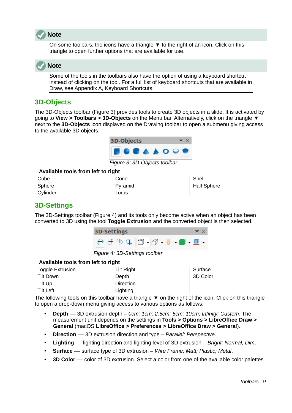

On some toolbars, the icons have a triangle  $\blacktriangledown$  to the right of an icon. Click on this triangle to open further options that are available for use.



Some of the tools in the toolbars also have the option of using a keyboard shortcut instead of clicking on the tool. For a full list of keyboard shortcuts that are available in Draw, see Appendix A, Keyboard Shortcuts.

### <span id="page-8-1"></span>**3D-Objects**

The 3D-Objects toolbar (Figure [3\)](#page-8-3) provides tools to create 3D objects in a slide. It is activated by going to **View > Toolbars > 3D-Objects** on the Menu bar. Alternatively, click on the triangle ▼ next to the **3D-Objects** icon displayed on the Drawing toolbar to open a submenu giving access to the available 3D objects.

<span id="page-8-3"></span>

*Figure 3: 3D-Objects toolbar*

#### **Available tools from left to right**

| Cube     | Cone         | Shell       |
|----------|--------------|-------------|
| Sphere   | Pyramid      | Half Sphere |
| Cylinder | <b>Torus</b> |             |

### <span id="page-8-0"></span>**3D-Settings**

The 3D-Settings toolbar (Figure [4](#page-8-2)) and its tools only become active when an object has been converted to 3D using the tool **Toggle Extrusion** and the converted object is then selected.

<span id="page-8-2"></span>

*Figure 4: 3D-Settings toolbar*

#### **Available tools from left to right**

| Toggle Extrusion | Tilt Right       | Surface  |
|------------------|------------------|----------|
| Tilt Down        | Depth            | 3D Color |
| Tilt Up          | <b>Direction</b> |          |
| <b>Tilt Left</b> | Lighting         |          |

The following tools on this toolbar have a triangle  $\bullet$  on the right of the icon. Click on this triangle to open a drop-down menu giving access to various options as follows:

- **Depth** –– 3D extrusion depth *0cm; 1cm; 2.5cm; 5cm; 10cm; Infinity; Custom*. The measurement unit depends on the settings in **Tools > Options > LibreOffice Draw > General** (macOS **LibreOffice > Preferences > LibreOffice Draw > General**).
- **Direction** –– 3D extrusion direction and type *Parallel; Perspective*.
- **Lighting** –– lighting direction and lighting level of 3D extrusion *Bright; Normal; Dim*.
- **Surface** –– surface type of 3D extrusion *Wire Frame; Matt; Plastic; Metal*.
- **3D Color** –– color of 3D extrusion. Select a color from one of the available color palettes.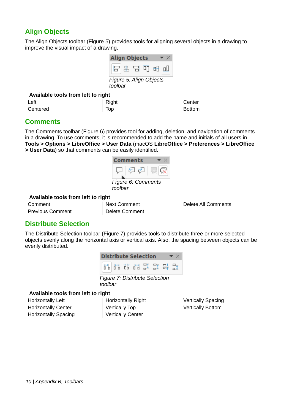### <span id="page-9-2"></span>**Align Objects**

The Align Objects toolbar (Figure [5](#page-9-5)) provides tools for aligning several objects in a drawing to improve the visual impact of a drawing.

<span id="page-9-5"></span>

#### **Available tools from left to right**

| Left     | Right                        | Center |
|----------|------------------------------|--------|
| Centered | $\overline{\phantom{a}}$ Top | Bottom |

### <span id="page-9-1"></span>**Comments**

The Comments toolbar (Figure [6](#page-9-4)) provides tool for adding, deletion, and navigation of comments in a drawing. To use comments, it is recommended to add the name and initials of all users in **Tools > Options > LibreOffice > User Data** (macOS **LibreOffice > Preferences > LibreOffice > User Data**) so that comments can be easily identified.

<span id="page-9-4"></span>

#### **Available tools from left to right**

| Comment                 |  |
|-------------------------|--|
| <b>Previous Comment</b> |  |

Next Comment Delete Comment Delete All Comments

### <span id="page-9-0"></span>**Distribute Selection**

The Distribute Selection toolbar (Figure [7\)](#page-9-3) provides tools to distribute three or more selected objects evenly along the horizontal axis or vertical axis. Also, the spacing between objects can be evenly distributed.



*toolbar*

#### **Available tools from left to right**

Horizontally Left Horizontally Center Horizontally Spacing

<span id="page-9-3"></span>

| <b>Horizontally Right</b> |
|---------------------------|
| <b>Vertically Top</b>     |
| <b>Vertically Center</b>  |

Vertically Spacing Vertically Bottom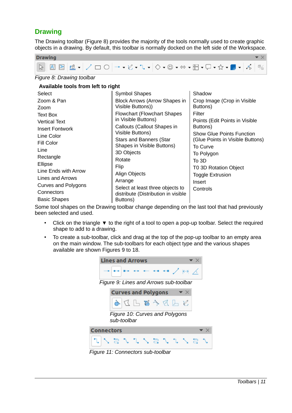### <span id="page-10-0"></span>**Drawing**

The Drawing toolbar (Figure [8](#page-10-2)) provides the majority of the tools normally used to create graphic objects in a drawing. By default, this toolbar is normally docked on the left side of the Workspace.



#### *Figure 8: Drawing toolbar*

#### <span id="page-10-2"></span>**Available tools from left to right**

| Select                     | <b>Symbol Shapes</b>                 | Shadow                           |
|----------------------------|--------------------------------------|----------------------------------|
| Zoom & Pan                 | <b>Block Arrows (Arrow Shapes in</b> | Crop Image (Crop in Visible      |
| Zoom                       | Visible Buttons))                    | Buttons)                         |
| <b>Text Box</b>            | Flowchart (Flowchart Shapes          | Filter                           |
| <b>Vertical Text</b>       | in Visible Buttons)                  | Points (Edit Points in Visible   |
| <b>Insert Fontwork</b>     | Callouts (Callout Shapes in          | Buttons)                         |
| Line Color                 | Visible Buttons)                     | <b>Show Glue Points Function</b> |
| Fill Color                 | <b>Stars and Banners (Star</b>       | (Glue Points in Visible Buttons) |
| Line                       | Shapes in Visible Buttons)           | To Curve                         |
| Rectangle                  | 3D Objects                           | To Polygon                       |
| Ellipse                    | Rotate                               | To 3D                            |
| Line Ends with Arrow       | Flip                                 | T0 3D Rotation Object            |
|                            | Align Objects                        | <b>Toggle Extrusion</b>          |
| Lines and Arrows           | Arrange                              | Insert                           |
| <b>Curves and Polygons</b> | Select at least three objects to     | Controls                         |
| Connectors                 | distribute (Distribution in visible  |                                  |
| <b>Basic Shapes</b>        | Buttons)                             |                                  |

Some tool shapes on the Drawing toolbar change depending on the last tool that had previously been selected and used.

- Click on the triangle  $\blacktriangledown$  to the right of a tool to open a pop-up toolbar. Select the required shape to add to a drawing.
- To create a sub-toolbar, click and drag at the top of the pop-up toolbar to an empty area on the main window. The sub-toolbars for each object type and the various shapes available are shown Figures [9](#page-10-1) to [18](#page-11-1).

<span id="page-10-1"></span>

*Figure 11: Connectors sub-toolbar*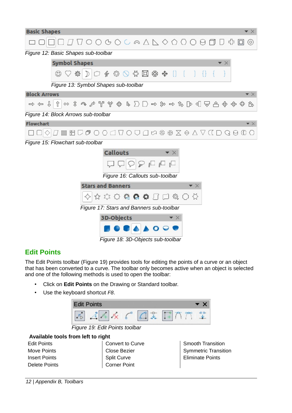| <b>Basic Shapes</b><br>▼ ╳                                                                                                            |
|---------------------------------------------------------------------------------------------------------------------------------------|
| <b>∏ П О О み О ⊂ ∞ Д Д ◇ Ѻ Ѻ Ѻ Ө Ө П </b> Ф<br>$\Box$<br>$\circledcirc$                                                               |
| Figure 12: Basic Shapes sub-toolbar                                                                                                   |
| <b>Symbol Shapes</b><br>$\blacktriangledown$ $\times$                                                                                 |
| $\supset$ $\mathscr{C}$ $\otimes$ $\bigcirc$ $\mathscr{C}$ $\boxdot$ $\mathscr{D}$ $\mathscr{D}$ $\otimes$ $\bigcirc$ $\bigcirc$<br>资 |
| Figure 13: Symbol Shapes sub-toolbar                                                                                                  |
| <b>Block Arrows</b>                                                                                                                   |
| ⇧<br>$\Rightarrow$ $\Leftarrow$ $\Downarrow$<br>ょ                                                                                     |
| Figure 14: Block Arrows sub-toolbar                                                                                                   |
| <b>Flowchart</b><br>▼ ╳                                                                                                               |
| MHU@OO△QOU△∞†∞¥∞×€V△D○⊙€                                                                                                              |
| Figure 15: Flowchart sub-toolbar                                                                                                      |
| <b>Callouts</b>                                                                                                                       |
| $\mathbb{L}$                                                                                                                          |
| Figure 16: Callouts sub-toolbar                                                                                                       |
| <b>Stars and Banners</b><br>▼×                                                                                                        |
| ☆☆☆卷●●□<br><b>Q ○ ☆</b>                                                                                                               |
| Figure 17: Stars and Banners sub-toolbar                                                                                              |
| 3D-Objects<br>▼ ×                                                                                                                     |
|                                                                                                                                       |

<span id="page-11-1"></span>*Figure 18: 3D-Objects sub-toolbar*

### <span id="page-11-0"></span>**Edit Points**

The Edit Points toolbar (Figure [19\)](#page-11-2) provides tools for editing the points of a curve or an object that has been converted to a curve. The toolbar only becomes active when an object is selected and one of the following methods is used to open the toolbar:

- Click on **Edit Points** on the Drawing or Standard toolbar.
- Use the keyboard shortcut *F8*.



*Figure 19: Edit Points toolbar*

#### **Available tools from left to right** Edit Points Move Points Insert Points Delete Points

<span id="page-11-2"></span>Convert to Curve Close Bezier Split Curve Corner Point

Smooth Transition Symmetric Transition Eliminate Points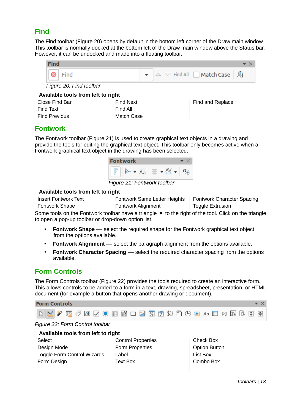### <span id="page-12-2"></span>**Find**

The Find toolbar (Figure [20](#page-12-5)) opens by default in the bottom left corner of the Draw main window. This toolbar is normally docked at the bottom left of the Draw main window above the Status bar. However, it can be undocked and made into a floating toolbar.



<span id="page-12-5"></span>*Figure 20: Find toolbar*

#### **Available tools from left to right**

| Close Find Bar       |  |
|----------------------|--|
| <b>Find Text</b>     |  |
| <b>Find Previous</b> |  |

| gnu                      |  |
|--------------------------|--|
| Find Next                |  |
| Find All<br>  Match Case |  |
|                          |  |

Find and Replace

### <span id="page-12-1"></span>**Fontwork**

The Fontwork toolbar (Figure [21](#page-12-4)) is used to create graphical text objects in a drawing and provide the tools for editing the graphical text object. This toolbar only becomes active when a Fontwork graphical text object in the drawing has been selected.



*Figure 21: Fontwork toolbar*

#### **Available tools from left to right**

Insert Fontwork Text Fontwork Shape

<span id="page-12-4"></span>Fontwork Same Letter Heights Fontwork Character Spacing Fontwork Alignment Toggle Extrusion

Some tools on the Fontwork toolbar have a triangle  $\blacktriangledown$  to the right of the tool. Click on the triangle to open a pop-up toolbar or drop-down option list.

- **Fontwork Shape** –– select the required shape for the Fontwork graphical text object from the options available.
- **Fontwork Alignment** –– select the paragraph alignment from the options available.
- **Fontwork Character Spacing** –– select the required character spacing from the options available.

### <span id="page-12-0"></span>**Form Controls**

The Form Controls toolbar (Figure [22\)](#page-12-3) provides the tools required to create an interactive form. This allows controls to be added to a form in a text, drawing, spreadsheet, presentation, or HTML document (for example a button that opens another drawing or document).



#### *Figure 22: Form Control toolbar*

#### <span id="page-12-3"></span>**Available tools from left to right**

Control Properties Form Properties Label Text Box

Check Box Option Button List Box Combo Box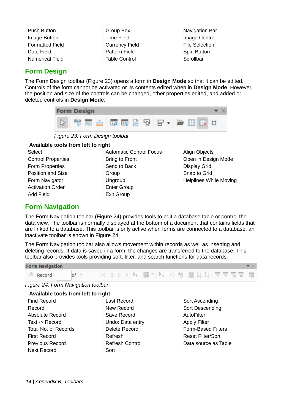- Push Button Image Button Formatted Field Date Field Numerical Field
- Group Box Time Field Currency Field Pattern Field Table Control

**Navigation Bar** Image Control File Selection Spin Button **Scrollbar** 

### <span id="page-13-1"></span>**Form Design**

The Form Design toolbar (Figure [23](#page-13-3)) opens a form in **Design Mode** so that it can be edited. Controls of the form cannot be activated or its contents edited when in **Design Mode**. However, the position and size of the controls can be changed, other properties edited, and added or deleted controls in **Design Mode**.



<span id="page-13-3"></span>*Figure 23: Form Design toolbar*

#### **Available tools from left to right**

- **Select** Control Properties Form Properties Position and Size Form Navigator Activation Order Add Field
- Automatic Control Focus Bring to Front Send to Back Group **Ungroup** Enter Group Exit Group
- Align Objects Open in Design Mode Display Grid Snap to Grid Helplines While Moving

### <span id="page-13-0"></span>**Form Navigation**

The Form Navigation toolbar (Figure [24\)](#page-13-2) provides tools to edit a database table or control the data view. The toolbar is normally displayed at the bottom of a document that contains fields that are linked to a database. This toolbar is only active when forms are connected to a database; an inactivate toolbar is shown in Figure [24](#page-13-2).

The Form Navigation toolbar also allows movement within records as well as inserting and deleting records. If data is saved in a form, the changes are transferred to the database. This toolbar also provides tools providing sort, filter, and search functions for data records.



*Figure 24: Form Navigation toolbar*

### <span id="page-13-2"></span>**Available tools from left to right**

- Find Record Record Absolute Record Text -> Record Total No. of Records First Record Previous Record Next Record
- Last Record New Record Save Record Undo: Data entry Delete Record Refresh Refresh Control Sort
- Sort Ascending Sort Descending **AutoFilter** Apply Filter Form-Based Filters Reset Filter/Sort Data source as Table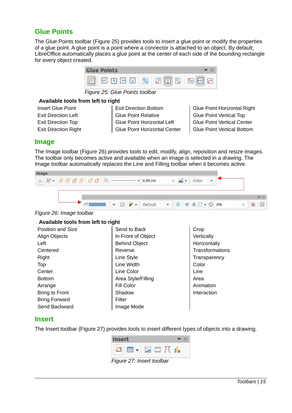### <span id="page-14-2"></span>**Glue Points**

The Glue Points toolbar (Figure [25\)](#page-14-5) provides tools to insert a glue point or modify the properties of a glue point. A glue point is a point where a connector is attached to an object. By default, LibreOffice automatically places a glue point at the center of each side of the bounding rectangle for every object created.



*Figure 25: Glue Points toolbar*

#### **Available tools from left to right**

Insert Glue Point Exit Direction Left Exit Direction Top Exit Direction Right <span id="page-14-5"></span>Exit Direction Bottom Glue Point Relative Glue Point Horizontal Left Glue Point Horizontal Center

Glue Point Horizontal Right Glue Point Vertical Top Glue Point Vertical Center Glue Point Vertical Bottom

#### <span id="page-14-1"></span>**Image**

The Image toolbar (Figure [26](#page-14-4)) provides tools to edit, modify, align, reposition and resize images. The toolbar only becomes active and available when an image is selected in a drawing. The Image toolbar automatically replaces the Line and Filling toolbar when it becomes active.

| Image |  |           |                           |  |  |  |  |
|-------|--|-----------|---------------------------|--|--|--|--|
|       |  | $-0.00cm$ | $ +$ $\leq$ $\cdot$ Color |  |  |  |  |
|       |  |           |                           |  |  |  |  |
|       |  |           |                           |  |  |  |  |
|       |  |           |                           |  |  |  |  |
|       |  |           |                           |  |  |  |  |

#### <span id="page-14-4"></span>*Figure 26: Image toolbar*

### **Available tools from left to right**

| Position and Size     | Send to Back         | Crop            |
|-----------------------|----------------------|-----------------|
| Align Objects         | In Front of Object   | Vertically      |
| Left                  | <b>Behind Object</b> | Horizontally    |
| Centered              | Reverse              | Transformations |
| Right                 | Line Style           | Transparency    |
| Top                   | Line Width           | Color           |
| Center                | Line Color           | Line            |
| <b>Bottom</b>         | Area Style/Filling   | Area            |
| Arrange               | Fill Color           | Animation       |
| <b>Bring to Front</b> | Shadow               | Interaction     |
| <b>Bring Forward</b>  | Filter               |                 |
| Send Backward         | Image Mode           |                 |

#### <span id="page-14-0"></span>**Insert**

The Insert toolbar (Figure [27](#page-14-3)) provides tools to insert different types of objects into a drawing.

<span id="page-14-3"></span>

*Figure 27: Insert toolbar*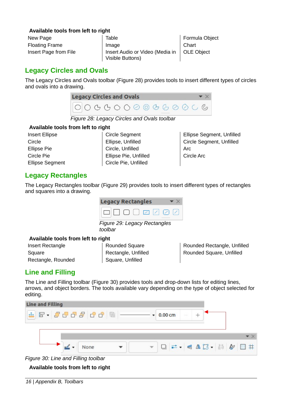#### **Available tools from left to right**

| New Page              | Table                           | Formu     |
|-----------------------|---------------------------------|-----------|
| <b>Floating Frame</b> | Image                           | Chart     |
| Insert Page from File | Insert Audio or Video (Media in | $ $ OLE O |
|                       | Visible Buttons)                |           |

la Object biect

### <span id="page-15-2"></span>**Legacy Circles and Ovals**

The Legacy Circles and Ovals toolbar (Figure [28\)](#page-15-5) provides tools to insert different types of circles and ovals into a drawing.



*Figure 28: Legacy Circles and Ovals toolbar*

#### **Available tools from left to right**

Insert Ellipse Circle Ellipse Pie Circle Pie Ellipse Segment

<span id="page-15-5"></span>Circle Segment Ellipse, Unfilled Circle, Unfilled Ellipse Pie, Unfilled Circle Pie, Unfilled

Ellipse Segment, Unfilled Circle Segment, Unfilled Arc Circle Arc

### <span id="page-15-1"></span>**Legacy Rectangles**

The Legacy Rectangles toolbar (Figure [29\)](#page-15-4) provides tools to insert different types of rectangles and squares into a drawing.



*Figure 29: Legacy Rectangles toolbar*

#### **Available tools from left to right**

Insert Rectangle **Square** Rectangle, Rounded <span id="page-15-4"></span>Rounded Square Rectangle, Unfilled Square, Unfilled

Rounded Rectangle, Unfilled Rounded Square, Unfilled

### <span id="page-15-0"></span>**Line and Filling**

The Line and Filling toolbar (Figure [30](#page-15-3)) provides tools and drop-down lists for editing lines, arrows, and object borders. The tools available vary depending on the type of object selected for editing.



*Figure 30: Line and Filling toolbar*

<span id="page-15-3"></span>**Available tools from left to right**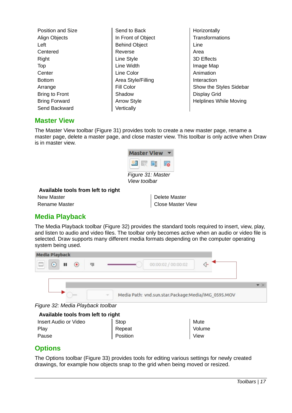Position and Size Align Objects Left Centered Right Top **Center** Bottom Arrange Bring to Front Bring Forward Send Backward

Send to Back In Front of Object Behind Object Reverse Line Style Line Width Line Color Area Style/Filling Fill Color Shadow Arrow Style **Vertically** 

Horizontally **Transformations** Line Area 3D Effects Image Map Animation Interaction Show the Styles Sidebar Display Grid Helplines While Moving

### <span id="page-16-2"></span>**Master View**

The Master View toolbar (Figure [31](#page-16-4)) provides tools to create a new master page, rename a master page, delete a master page, and close master view. This toolbar is only active when Draw is in master view.



#### **Available tools from left to right**

New Master Rename Master

<span id="page-16-4"></span>Delete Master Close Master View

### <span id="page-16-1"></span>**Media Playback**

The Media Playback toolbar (Figure [32](#page-16-3)) provides the standard tools required to insert, view, play, and listen to audio and video files. The toolbar only becomes active when an audio or video file is selected. Draw supports many different media formats depending on the computer operating system being used.



*Figure 32: Media Playback toolbar*

<span id="page-16-3"></span>

| Available tools from left to right |          |        |  |
|------------------------------------|----------|--------|--|
| Insert Audio or Video              | ⊩ Stop   | Mute   |  |
| Play                               | Repeat   | Volume |  |
| Pause                              | Position | View   |  |

### <span id="page-16-0"></span>**Options**

The Options toolbar (Figure [33\)](#page-17-2) provides tools for editing various settings for newly created drawings, for example how objects snap to the grid when being moved or resized.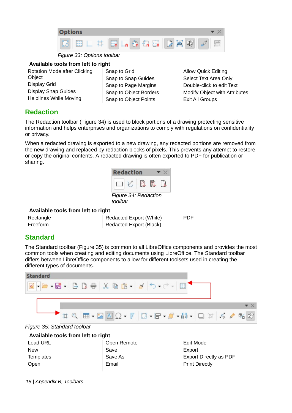

<span id="page-17-2"></span>*Figure 33: Options toolbar*

#### **Available tools from left to right**

| Rotation Mode after Clicking  |
|-------------------------------|
| Object                        |
| <b>Display Grid</b>           |
| <b>Display Snap Guides</b>    |
| <b>Helplines While Moving</b> |

Snap to Grid Snap to Snap Guides Snap to Page Margins Snap to Object Borders Snap to Object Points

Allow Quick Editing Select Text Area Only Double-click to edit Text Modify Object with Attributes Exit All Groups

### <span id="page-17-0"></span>**Redaction**

The Redaction toolbar (Figure [34\)](#page-17-4) is used to block portions of a drawing protecting sensitive information and helps enterprises and organizations to comply with regulations on confidentiality or privacy.

When a redacted drawing is exported to a new drawing, any redacted portions are removed from the new drawing and replaced by redaction blocks of pixels. This prevents any attempt to restore or copy the original contents. A redacted drawing is often exported to PDF for publication or sharing.



#### **Available tools from left to right**

| Rectangle | Redac |
|-----------|-------|
| Freeform  | Redac |

<span id="page-17-4"></span>ted Export (White) ted Export (Black)

PDF

### <span id="page-17-1"></span>**Standard**

The Standard toolbar (Figure [35\)](#page-17-3) is common to all LibreOffice components and provides the most common tools when creating and editing documents using LibreOffice. The Standard toolbar differs between LibreOffice components to allow for different toolsets used in creating the different types of documents.



<span id="page-17-3"></span>

| Load URL   | Open Remote | <b>Edit Mode</b>       |
|------------|-------------|------------------------|
| <b>New</b> | Save        | Export                 |
| Templates  | Save As     | Export Directly as PDF |
| Open       | Email       | <b>Print Directly</b>  |
|            |             |                        |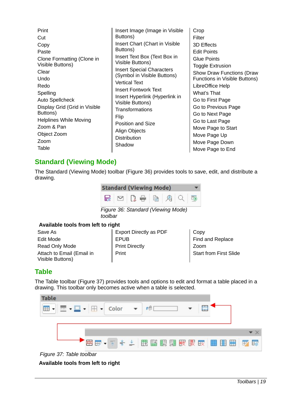| Print<br>Cut<br>Copy<br>Paste<br>Clone Formatting (Clone in<br>Visible Buttons)<br>Clear<br>Undo<br>Redo<br>Spelling<br><b>Auto Spellcheck</b><br>Display Grid (Grid in Visible<br>Buttons) | Insert Image (Image in Visible<br>Buttons)<br>Insert Chart (Chart in Visible<br>Buttons)<br>Insert Text Box (Text Box in<br>Visible Buttons)<br><b>Insert Special Characters</b><br>(Symbol in Visible Buttons)<br><b>Vertical Text</b><br>Insert Fontwork Text<br>Insert Hyperlink (Hyperlink in<br>Visible Buttons)<br>Transformations<br>Flip | Crop<br>Filter<br>3D Effects<br><b>Edit Points</b><br><b>Glue Points</b><br>Toggle Extrusion<br><b>Show Draw Functions (Draw</b><br>Functions in Visible Buttons)<br>LibreOffice Help<br>What's That<br>Go to First Page<br>Go to Previous Page<br>Go to Next Page |
|---------------------------------------------------------------------------------------------------------------------------------------------------------------------------------------------|--------------------------------------------------------------------------------------------------------------------------------------------------------------------------------------------------------------------------------------------------------------------------------------------------------------------------------------------------|--------------------------------------------------------------------------------------------------------------------------------------------------------------------------------------------------------------------------------------------------------------------|
| <b>Helplines While Moving</b><br>Zoom & Pan<br>Object Zoom<br>Zoom<br>Table                                                                                                                 | <b>Position and Size</b><br>Align Objects<br>Distribution<br>Shadow                                                                                                                                                                                                                                                                              | Go to Last Page<br>Move Page to Start<br>Move Page Up<br>Move Page Down<br>Move Page to End                                                                                                                                                                        |

### <span id="page-18-1"></span>**Standard (Viewing Mode)**

The Standard (Viewing Mode) toolbar (Figure [36\)](#page-18-3) provides tools to save, edit, and distribute a drawing.



#### **Available tools from left to right**

Save As Edit Mode Read Only Mode Attach to Email (Email in Visible Buttons)

<span id="page-18-3"></span>Export Directly as PDF EPUB Print Directly Print

Copy Find and Replace Zoom Start from First Slide

### <span id="page-18-0"></span>**Table**

The Table toolbar (Figure [37](#page-18-2)) provides tools and options to edit and format a table placed in a drawing. This toolbar only becomes active when a table is selected.



<span id="page-18-2"></span>

**Available tools from left to right**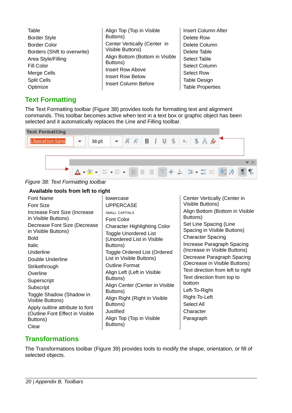| Table                        | Align Top (Top in Visible       | Insert Column After     |
|------------------------------|---------------------------------|-------------------------|
| <b>Border Style</b>          | Buttons)                        | Delete Row              |
| <b>Border Color</b>          | Center Vertically (Center in    | Delete Column           |
| Borders (Shift to overwrite) | Visible Buttons)                | Delete Table            |
| Area Style/Filling           | Align Bottom (Bottom in Visible | Select Table            |
| Fill Color                   | Buttons)                        | Select Column           |
| Merge Cells                  | <b>Insert Row Above</b>         | <b>Select Row</b>       |
| <b>Split Cells</b>           | <b>Insert Row Below</b>         | <b>Table Design</b>     |
| Optimize                     | <b>Insert Column Before</b>     | <b>Table Properties</b> |

### <span id="page-19-1"></span>**Text Formatting**

The Text Formatting toolbar (Figure [38\)](#page-19-2) provides tools for formatting text and alignment commands. This toolbar becomes active when text in a text box or graphic object has been selected and it automatically replaces the Line and Filling toolbar.



*Figure 38: Text Formatting toolbar*

#### <span id="page-19-2"></span>**Available tools from left to right**

### <span id="page-19-0"></span>**Transformations**

The Transformations toolbar (Figure [39\)](#page-20-1) provides tools to modify the shape, orientation, or fill of selected objects.